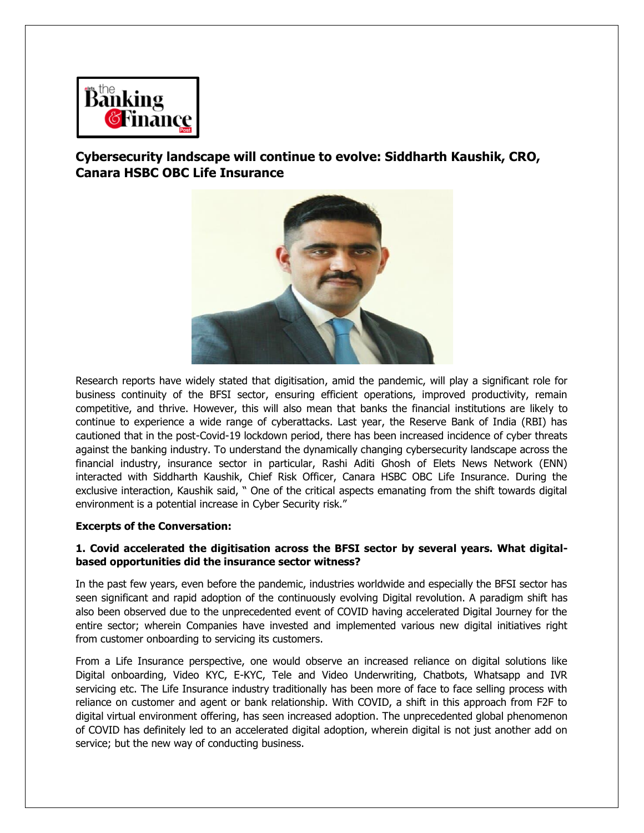

**Cybersecurity landscape will continue to evolve: Siddharth Kaushik, CRO, Canara HSBC OBC Life Insurance**



Research reports have widely stated that digitisation, amid the pandemic, will play a significant role for business continuity of the BFSI sector, ensuring efficient operations, improved productivity, remain competitive, and thrive. However, this will also mean that banks the financial institutions are likely to continue to experience a wide range of cyberattacks. Last year, the Reserve Bank of India (RBI) has cautioned that in the post-Covid-19 lockdown period, there has been increased incidence of cyber threats against the banking industry. To understand the dynamically changing cybersecurity landscape across the financial industry, insurance sector in particular, Rashi Aditi Ghosh of Elets News Network (ENN) interacted with Siddharth Kaushik, Chief Risk Officer, Canara HSBC OBC Life Insurance. During the exclusive interaction, Kaushik said, " One of the critical aspects emanating from the shift towards digital environment is a potential increase in Cyber Security risk."

# **Excerpts of the Conversation:**

#### **1. Covid accelerated the digitisation across the BFSI sector by several years. What digitalbased opportunities did the insurance sector witness?**

In the past few years, even before the pandemic, industries worldwide and especially the BFSI sector has seen significant and rapid adoption of the continuously evolving Digital revolution. A paradigm shift has also been observed due to the unprecedented event of COVID having accelerated Digital Journey for the entire sector; wherein Companies have invested and implemented various new digital initiatives right from customer onboarding to servicing its customers.

From a Life Insurance perspective, one would observe an increased reliance on digital solutions like Digital onboarding, Video KYC, E-KYC, Tele and Video Underwriting, Chatbots, Whatsapp and IVR servicing etc. The Life Insurance industry traditionally has been more of face to face selling process with reliance on customer and agent or bank relationship. With COVID, a shift in this approach from F2F to digital virtual environment offering, has seen increased adoption. The unprecedented global phenomenon of COVID has definitely led to an accelerated digital adoption, wherein digital is not just another add on service; but the new way of conducting business.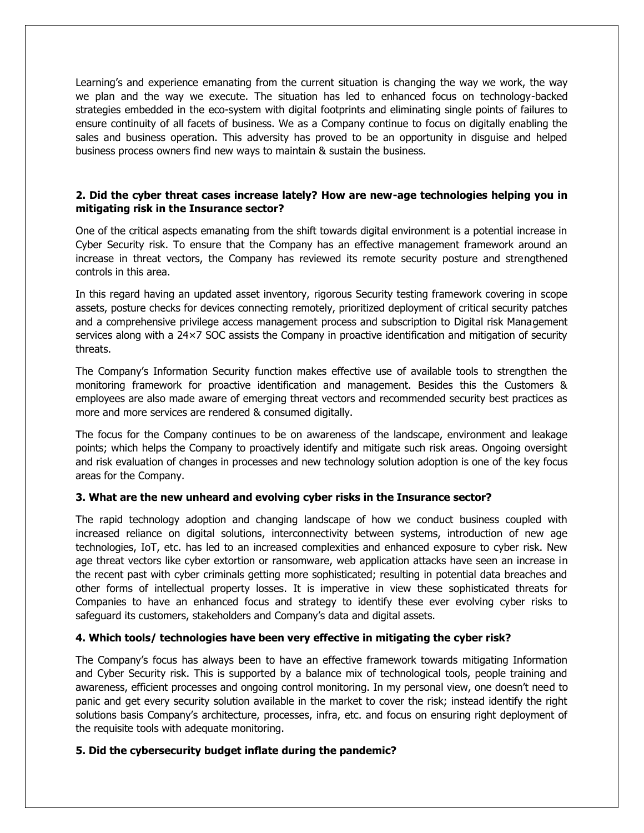Learning's and experience emanating from the current situation is changing the way we work, the way we plan and the way we execute. The situation has led to enhanced focus on technology-backed strategies embedded in the eco-system with digital footprints and eliminating single points of failures to ensure continuity of all facets of business. We as a Company continue to focus on digitally enabling the sales and business operation. This adversity has proved to be an opportunity in disguise and helped business process owners find new ways to maintain & sustain the business.

## **2. Did the cyber threat cases increase lately? How are new-age technologies helping you in mitigating risk in the Insurance sector?**

One of the critical aspects emanating from the shift towards digital environment is a potential increase in Cyber Security risk. To ensure that the Company has an effective management framework around an increase in threat vectors, the Company has reviewed its remote security posture and strengthened controls in this area.

In this regard having an updated asset inventory, rigorous Security testing framework covering in scope assets, posture checks for devices connecting remotely, prioritized deployment of critical security patches and a comprehensive privilege access management process and subscription to Digital risk Management services along with a 24×7 SOC assists the Company in proactive identification and mitigation of security threats.

The Company's Information Security function makes effective use of available tools to strengthen the monitoring framework for proactive identification and management. Besides this the Customers & employees are also made aware of emerging threat vectors and recommended security best practices as more and more services are rendered & consumed digitally.

The focus for the Company continues to be on awareness of the landscape, environment and leakage points; which helps the Company to proactively identify and mitigate such risk areas. Ongoing oversight and risk evaluation of changes in processes and new technology solution adoption is one of the key focus areas for the Company.

#### **3. What are the new unheard and evolving cyber risks in the Insurance sector?**

The rapid technology adoption and changing landscape of how we conduct business coupled with increased reliance on digital solutions, interconnectivity between systems, introduction of new age technologies, IoT, etc. has led to an increased complexities and enhanced exposure to cyber risk. New age threat vectors like cyber extortion or ransomware, web application attacks have seen an increase in the recent past with cyber criminals getting more sophisticated; resulting in potential data breaches and other forms of intellectual property losses. It is imperative in view these sophisticated threats for Companies to have an enhanced focus and strategy to identify these ever evolving cyber risks to safeguard its customers, stakeholders and Company's data and digital assets.

#### **4. Which tools/ technologies have been very effective in mitigating the cyber risk?**

The Company's focus has always been to have an effective framework towards mitigating Information and Cyber Security risk. This is supported by a balance mix of technological tools, people training and awareness, efficient processes and ongoing control monitoring. In my personal view, one doesn't need to panic and get every security solution available in the market to cover the risk; instead identify the right solutions basis Company's architecture, processes, infra, etc. and focus on ensuring right deployment of the requisite tools with adequate monitoring.

#### **5. Did the cybersecurity budget inflate during the pandemic?**